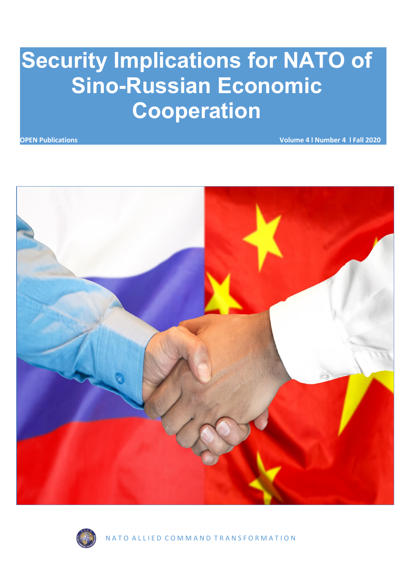# **Security Implications for NATO of Sino-Russian Economic Cooperation**

**OPEN Publications Volume 4 l Number 4 l Fall 2020**





N A T O A L L I E D C O M M A N D T R A N S F O R M A T I O N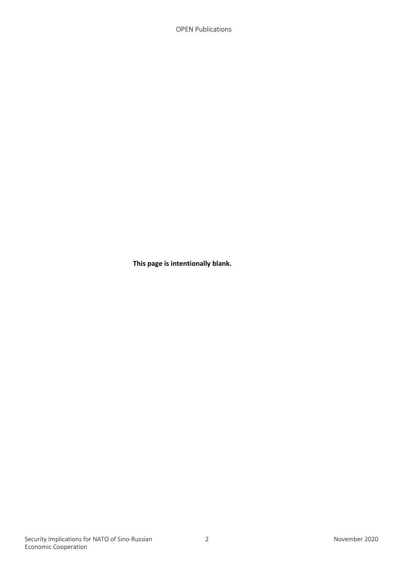**This page is intentionally blank.**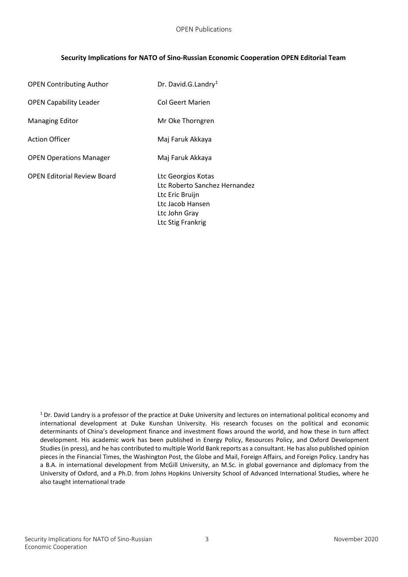#### **Security Implications for NATO of Sino-Russian Economic Cooperation OPEN Editorial Team**

| <b>OPEN Contributing Author</b>    | Dr. David.G.Landry <sup>1</sup>                                                                                                  |
|------------------------------------|----------------------------------------------------------------------------------------------------------------------------------|
| <b>OPEN Capability Leader</b>      | <b>Col Geert Marien</b>                                                                                                          |
| <b>Managing Editor</b>             | Mr Oke Thorngren                                                                                                                 |
| <b>Action Officer</b>              | Maj Faruk Akkaya                                                                                                                 |
| <b>OPEN Operations Manager</b>     | Maj Faruk Akkaya                                                                                                                 |
| <b>OPEN Editorial Review Board</b> | Ltc Georgios Kotas<br>Ltc Roberto Sanchez Hernandez<br>Ltc Eric Bruijn<br>Ltc Jacob Hansen<br>Ltc John Gray<br>Ltc Stig Frankrig |

<span id="page-2-0"></span><sup>1</sup> Dr. David Landry is a professor of the practice at Duke University and lectures on international political economy and international development at Duke Kunshan University. His research focuses on the political and economic determinants of China's development finance and investment flows around the world, and how these in turn affect development. His academic work has been published in Energy Policy, Resources Policy, and Oxford Development Studies (in press), and he has contributed to multiple World Bank reports as a consultant. He has also published opinion pieces in the Financial Times, the Washington Post, the Globe and Mail, Foreign Affairs, and Foreign Policy. Landry has a B.A. in international development from McGill University, an M.Sc. in global governance and diplomacy from the University of Oxford, and a Ph.D. from Johns Hopkins University School of Advanced International Studies, where he also taught international trade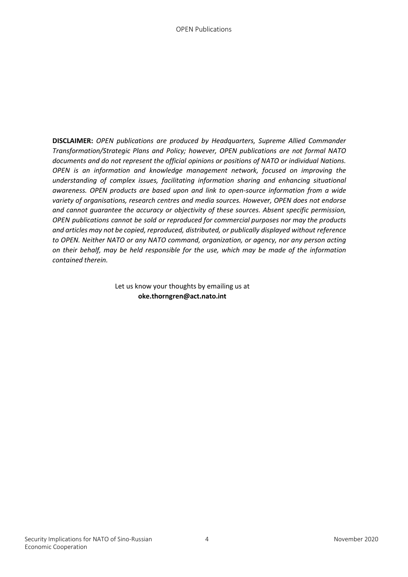**DISCLAIMER:** *OPEN publications are produced by Headquarters, Supreme Allied Commander Transformation/Strategic Plans and Policy; however, OPEN publications are not formal NATO documents and do not represent the official opinions or positions of NATO or individual Nations. OPEN is an information and knowledge management network, focused on improving the understanding of complex issues, facilitating information sharing and enhancing situational awareness. OPEN products are based upon and link to open-source information from a wide variety of organisations, research centres and media sources. However, OPEN does not endorse and cannot guarantee the accuracy or objectivity of these sources. Absent specific permission, OPEN publications cannot be sold or reproduced for commercial purposes nor may the products and articles may not be copied, reproduced, distributed, or publically displayed without reference to OPEN. Neither NATO or any NATO command, organization, or agency, nor any person acting on their behalf, may be held responsible for the use, which may be made of the information contained therein.*

> Let us know your thoughts by emailing us at **[oke.thorngren@act.nato.int](mailto:oke.thorngren@act.nato.int)**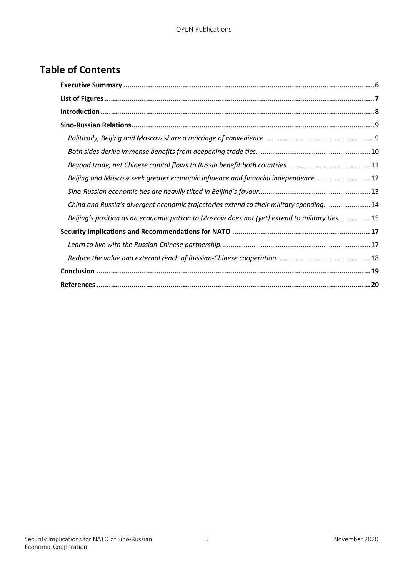# **Table of Contents**

| Beijing and Moscow seek greater economic influence and financial independence.  12          |  |
|---------------------------------------------------------------------------------------------|--|
|                                                                                             |  |
| China and Russia's divergent economic trajectories extend to their military spending.  14   |  |
| Beijing's position as an economic patron to Moscow does not (yet) extend to military ties15 |  |
|                                                                                             |  |
|                                                                                             |  |
|                                                                                             |  |
|                                                                                             |  |
|                                                                                             |  |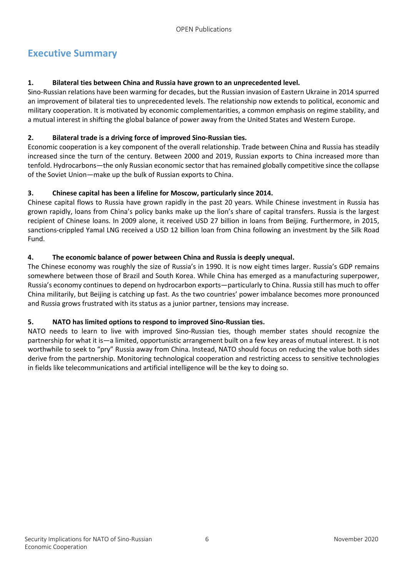# <span id="page-5-0"></span>**Executive Summary**

#### **1. Bilateral ties between China and Russia have grown to an unprecedented level.**

Sino-Russian relations have been warming for decades, but the Russian invasion of Eastern Ukraine in 2014 spurred an improvement of bilateral ties to unprecedented levels. The relationship now extends to political, economic and military cooperation. It is motivated by economic complementarities, a common emphasis on regime stability, and a mutual interest in shifting the global balance of power away from the United States and Western Europe.

#### **2. Bilateral trade is a driving force of improved Sino-Russian ties.**

Economic cooperation is a key component of the overall relationship. Trade between China and Russia has steadily increased since the turn of the century. Between 2000 and 2019, Russian exports to China increased more than tenfold. Hydrocarbons—the only Russian economic sector that has remained globally competitive since the collapse of the Soviet Union—make up the bulk of Russian exports to China.

#### **3. Chinese capital has been a lifeline for Moscow, particularly since 2014.**

Chinese capital flows to Russia have grown rapidly in the past 20 years. While Chinese investment in Russia has grown rapidly, loans from China's policy banks make up the lion's share of capital transfers. Russia is the largest recipient of Chinese loans. In 2009 alone, it received USD 27 billion in loans from Beijing. Furthermore, in 2015, sanctions-crippled Yamal LNG received a USD 12 billion loan from China following an investment by the Silk Road Fund.

#### **4. The economic balance of power between China and Russia is deeply unequal.**

The Chinese economy was roughly the size of Russia's in 1990. It is now eight times larger. Russia's GDP remains somewhere between those of Brazil and South Korea. While China has emerged as a manufacturing superpower, Russia's economy continues to depend on hydrocarbon exports—particularly to China. Russia still has much to offer China militarily, but Beijing is catching up fast. As the two countries' power imbalance becomes more pronounced and Russia grows frustrated with its status as a junior partner, tensions may increase.

#### **5. NATO has limited options to respond to improved Sino-Russian ties.**

NATO needs to learn to live with improved Sino-Russian ties, though member states should recognize the partnership for what it is—a limited, opportunistic arrangement built on a few key areas of mutual interest. It is not worthwhile to seek to "pry" Russia away from China. Instead, NATO should focus on reducing the value both sides derive from the partnership. Monitoring technological cooperation and restricting access to sensitive technologies in fields like telecommunications and artificial intelligence will be the key to doing so.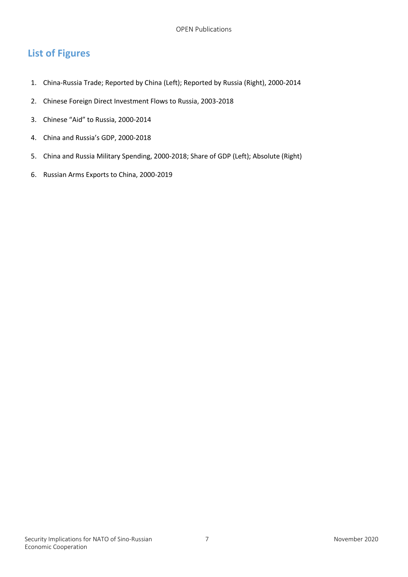# <span id="page-6-0"></span>**List of Figures**

- 1. China-Russia Trade; Reported by China (Left); Reported by Russia (Right), 2000-2014
- 2. Chinese Foreign Direct Investment Flows to Russia, 2003-2018
- 3. Chinese "Aid" to Russia, 2000-2014
- 4. China and Russia's GDP, 2000-2018
- 5. China and Russia Military Spending, 2000-2018; Share of GDP (Left); Absolute (Right)
- 6. Russian Arms Exports to China, 2000-2019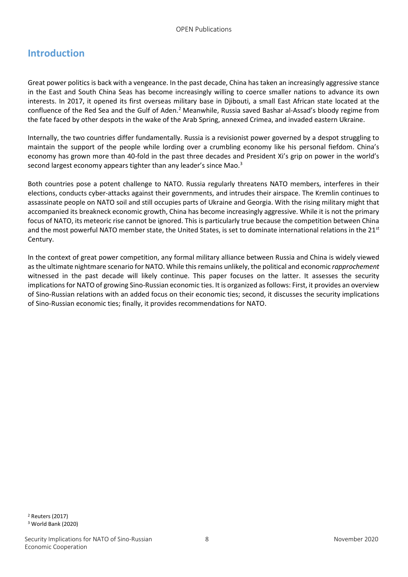# <span id="page-7-0"></span>**Introduction**

Great power politics is back with a vengeance. In the past decade, China has taken an increasingly aggressive stance in the East and South China Seas has become increasingly willing to coerce smaller nations to advance its own interests. In 2017, it opened its first overseas military base in Djibouti, a small East African state located at the confluence of the Red Sea and the Gulf of Aden.<sup>[2](#page-7-2)</sup> Meanwhile, Russia saved Bashar al-Assad's bloody regime from the fate faced by other despots in the wake of the Arab Spring, annexed Crimea, and invaded eastern Ukraine.

Internally, the two countries differ fundamentally. Russia is a revisionist power governed by a despot struggling to maintain the support of the people while lording over a crumbling economy like his personal fiefdom. China's economy has grown more than 40-fold in the past three decades and President Xi's grip on power in the world's second largest economy appears tighter than any leader's since Mao.<sup>[3](#page-7-3)</sup>

Both countries pose a potent challenge to NATO. Russia regularly threatens NATO members, interferes in their elections, conducts cyber-attacks against their governments, and intrudes their airspace. The Kremlin continues to assassinate people on NATO soil and still occupies parts of Ukraine and Georgia. With the rising military might that accompanied its breakneck economic growth, China has become increasingly aggressive. While it is not the primary focus of NATO, its meteoric rise cannot be ignored. This is particularly true because the competition between China and the most powerful NATO member state, the United States, is set to dominate international relations in the 21st Century.

<span id="page-7-3"></span><span id="page-7-2"></span><span id="page-7-1"></span>In the context of great power competition, any formal military alliance between Russia and China is widely viewed as the ultimate nightmare scenario for NATO. While this remains unlikely, the political and economic *rapprochement* witnessed in the past decade will likely continue. This paper focuses on the latter. It assesses the security implications for NATO of growing Sino-Russian economic ties. It is organized as follows: First, it provides an overview of Sino-Russian relations with an added focus on their economic ties; second, it discusses the security implications of Sino-Russian economic ties; finally, it provides recommendations for NATO.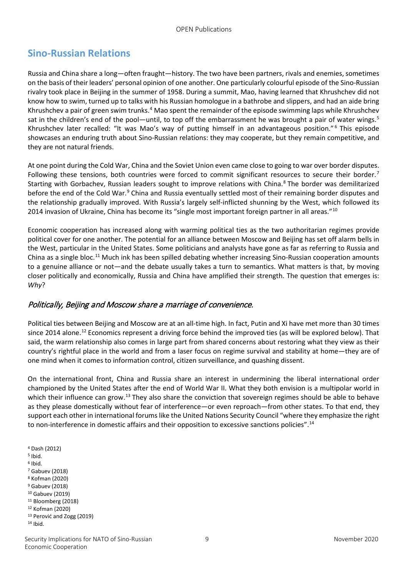# **Sino-Russian Relations**

Russia and China share a long—often fraught—history. The two have been partners, rivals and enemies, sometimes on the basis of their leaders' personal opinion of one another. One particularly colourful episode of the Sino-Russian rivalry took place in Beijing in the summer of 1958. During a summit, Mao, having learned that Khrushchev did not know how to swim, turned up to talks with his Russian homologue in a bathrobe and slippers, and had an aide bring Khrushchev a pair of green swim trunks.<sup>[4](#page-8-1)</sup> Mao spent the remainder of the episode swimming laps while Khrushchev sat in the children's end of the pool—until, to top off the embarrassment he was brought a pair of water wings.<sup>[5](#page-8-2)</sup> Khrushchev later recalled: "It was Mao's way of putting himself in an advantageous position." <sup>[6](#page-8-3)</sup> This episode showcases an enduring truth about Sino-Russian relations: they may cooperate, but they remain competitive, and they are not natural friends.

At one point during the Cold War, China and the Soviet Union even came close to going to war over border disputes. Following these tensions, both countries were forced to commit significant resources to secure their border.<sup>[7](#page-8-4)</sup> Starting with Gorbachev, Russian leaders sought to improve relations with China.<sup>[8](#page-8-5)</sup> The border was demilitarized before the end of the Cold War.<sup>[9](#page-8-6)</sup> China and Russia eventually settled most of their remaining border disputes and the relationship gradually improved. With Russia's largely self-inflicted shunning by the West, which followed its 2014 invasion of Ukraine, China has become its "single most important foreign partner in all areas."[10](#page-8-7)

Economic cooperation has increased along with warming political ties as the two authoritarian regimes provide political cover for one another. The potential for an alliance between Moscow and Beijing has set off alarm bells in the West, particular in the United States. Some politicians and analysts have gone as far as referring to Russia and China as a single bloc.[11](#page-8-8) Much ink has been spilled debating whether increasing Sino-Russian cooperation amounts to a genuine alliance or not—and the debate usually takes a turn to semantics. What matters is that, by moving closer politically and economically, Russia and China have amplified their strength. The question that emerges is: *Why*?

## <span id="page-8-0"></span>Politically, Beijing and Moscow share a marriage of convenience.

Political ties between Beijing and Moscow are at an all-time high. In fact, Putin and Xi have met more than 30 times since 2014 alone.<sup>[12](#page-8-9)</sup> Economics represent a driving force behind the improved ties (as will be explored below). That said, the warm relationship also comes in large part from shared concerns about restoring what they view as their country's rightful place in the world and from a laser focus on regime survival and stability at home—they are of one mind when it comes to information control, citizen surveillance, and quashing dissent.

On the international front, China and Russia share an interest in undermining the liberal international order championed by the United States after the end of World War II. What they both envision is a multipolar world in which their influence can grow.<sup>13</sup> They also share the conviction that sovereign regimes should be able to behave as they please domestically without fear of interference—or even reproach—from other states. To that end, they support each other in international forums like the United Nations Security Council "where they emphasize the right to non-interference in domestic affairs and their opposition to excessive sanctions policies". <sup>[14](#page-8-11)</sup>

<span id="page-8-11"></span><span id="page-8-10"></span><span id="page-8-9"></span><span id="page-8-8"></span><span id="page-8-7"></span><span id="page-8-6"></span><span id="page-8-5"></span><span id="page-8-4"></span><span id="page-8-3"></span><span id="page-8-2"></span><span id="page-8-1"></span> Dash (2012)  $<sup>5</sup>$  Ibid.</sup>  $6$  Ibid. Gabuev (2018) Kofman (2020) <sup>9</sup> Gabuev (2018) Gabuev (2019) Bloomberg (2018) Kofman (2020) Perović and Zogg (2019)  $14$  Ibid.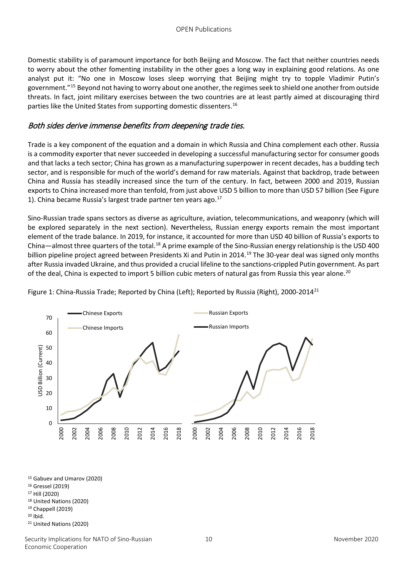Domestic stability is of paramount importance for both Beijing and Moscow. The fact that neither countries needs to worry about the other fomenting instability in the other goes a long way in explaining good relations. As one analyst put it: "No one in Moscow loses sleep worrying that Beijing might try to topple Vladimir Putin's government."[15](#page-9-1) Beyond not having to worry about one another, the regimes seek to shield one another from outside threats. In fact, joint military exercises between the two countries are at least partly aimed at discouraging third parties like the United States from supporting domestic dissenters. [16](#page-9-2)

## <span id="page-9-0"></span>Both sides derive immense benefits from deepening trade ties.

Trade is a key component of the equation and a domain in which Russia and China complement each other. Russia is a commodity exporter that never succeeded in developing a successful manufacturing sector for consumer goods and that lacks a tech sector; China has grown as a manufacturing superpower in recent decades, has a budding tech sector, and is responsible for much of the world's demand for raw materials. Against that backdrop, trade between China and Russia has steadily increased since the turn of the century. In fact, between 2000 and 2019, Russian exports to China increased more than tenfold, from just above USD 5 billion to more than USD 57 billion (See Figure 1). China became Russia's largest trade partner ten years ago.<sup>[17](#page-9-3)</sup>

Sino-Russian trade spans sectors as diverse as agriculture, aviation, telecommunications, and weaponry (which will be explored separately in the next section). Nevertheless, Russian energy exports remain the most important element of the trade balance. In 2019, for instance, it accounted for more than USD 40 billion of Russia's exports to China—almost three quarters of the total.<sup>[18](#page-9-4)</sup> A prime example of the Sino-Russian energy relationship is the USD 400 billion pipeline project agreed between Presidents Xi and Putin in 2014.<sup>[19](#page-9-5)</sup> The 30-year deal was signed only months after Russia invaded Ukraine, and thus provided a crucial lifeline to the sanctions-crippled Putin government. As part of the deal, China is expected to import 5 billion cubic meters of natural gas from Russia this year alone.<sup>[20](#page-9-6)</sup>



Figure 1: China-Russia Trade; Reported by China (Left); Reported by Russia (Right), 2000-2014<sup>[21](#page-9-7)</sup>

<span id="page-9-1"></span><sup>15</sup> Gabuev and Umarov (2020)

- <span id="page-9-2"></span><sup>16</sup> Gressel (2019)
- <span id="page-9-3"></span><sup>17</sup> Hill (2020)
- <span id="page-9-4"></span><sup>18</sup> United Nations (2020) <sup>19</sup> Chappell (2019)
- <span id="page-9-6"></span><span id="page-9-5"></span> $20$  Ibid.

Security Implications for NATO of Sino-Russian Economic Cooperation

<span id="page-9-7"></span><sup>21</sup> United Nations (2020)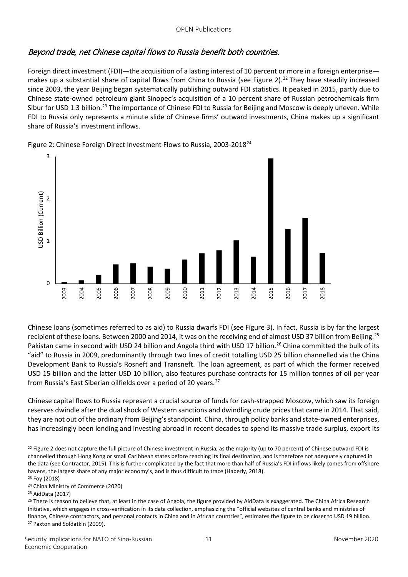## <span id="page-10-0"></span>Beyond trade, net Chinese capital flows to Russia benefit both countries.

Foreign direct investment (FDI)—the acquisition of a lasting interest of 10 percent or more in a foreign enterprise— makes up a substantial share of capital flows from China to Russia (see Figure 2).<sup>[22](#page-10-1)</sup> They have steadily increased since 2003, the year Beijing began systematically publishing outward FDI statistics. It peaked in 2015, partly due to Chinese state-owned petroleum giant Sinopec's acquisition of a 10 percent share of Russian petrochemicals firm Sibur for USD 1.3 billion.<sup>[23](#page-10-2)</sup> The importance of Chinese FDI to Russia for Beijing and Moscow is deeply uneven. While FDI to Russia only represents a minute slide of Chinese firms' outward investments, China makes up a significant share of Russia's investment inflows.



Figure 2: Chinese Foreign Direct Investment Flows to Russia, 2003-2018[24](#page-10-3)

Chinese loans (sometimes referred to as aid) to Russia dwarfs FDI (see Figure 3). In fact, Russia is by far the largest recipient of these loans. Between 2000 and 2014, it was on the receiving end of almost USD 37 billion from Beijing.<sup>[25](#page-10-4)</sup> Pakistan came in second with USD 24 billion and Angola third with USD 17 billion.<sup>[26](#page-10-5)</sup> China committed the bulk of its "aid" to Russia in 2009, predominantly through two lines of credit totalling USD 25 billion channelled via the China Development Bank to Russia's Rosneft and Transneft. The loan agreement, as part of which the former received USD 15 billion and the latter USD 10 billion, also features purchase contracts for 15 million tonnes of oil per year from Russia's East Siberian oilfields over a period of 20 years.<sup>[27](#page-10-6)</sup>

Chinese capital flows to Russia represent a crucial source of funds for cash-strapped Moscow, which saw its foreign reserves dwindle after the dual shock of Western sanctions and dwindling crude prices that came in 2014. That said, they are not out of the ordinary from Beijing's standpoint. China, through policy banks and state-owned enterprises, has increasingly been lending and investing abroad in recent decades to spend its massive trade surplus, export its

<span id="page-10-1"></span><sup>22</sup> Figure 2 does not capture the full picture of Chinese investment in Russia, as the majority (up to 70 percent) of Chinese outward FDI is channelled through Hong Kong or small Caribbean states before reaching its final destination, and is therefore not adequately captured in the data (see Contractor, 2015). This is further complicated by the fact that more than half of Russia's FDI inflows likely comes from offshore havens, the largest share of any major economy's, and is thus difficult to trace (Haberly, 2018). <sup>23</sup> Foy (2018)

<span id="page-10-3"></span><span id="page-10-2"></span><sup>24</sup> China Ministry of Commerce (2020)

<span id="page-10-6"></span><span id="page-10-5"></span><sup>26</sup> There is reason to believe that, at least in the case of Angola, the figure provided by AidData is exaggerated. The China Africa Research Initiative, which engages in cross-verification in its data collection, emphasizing the "official websites of central banks and ministries of finance, Chinese contractors, and personal contacts in China and in African countries", estimates the figure to be closer to USD 19 billion. <sup>27</sup> Paxton and Soldatkin (2009).

<span id="page-10-4"></span><sup>25</sup> AidData (2017)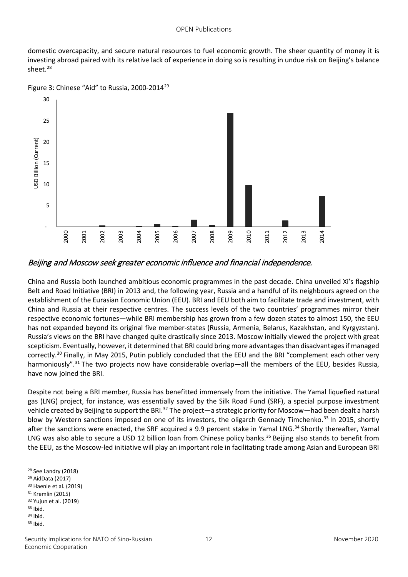#### OPEN Publications

domestic overcapacity, and secure natural resources to fuel economic growth. The sheer quantity of money it is investing abroad paired with its relative lack of experience in doing so is resulting in undue risk on Beijing's balance sheet.<sup>[28](#page-11-1)</sup>



Figure 3: Chinese "Aid" to Russia, 2000-2014[29](#page-11-2)

## <span id="page-11-0"></span>Beijing and Moscow seek greater economic influence and financial independence.

China and Russia both launched ambitious economic programmes in the past decade. China unveiled Xi's flagship Belt and Road Initiative (BRI) in 2013 and, the following year, Russia and a handful of its neighbours agreed on the establishment of the Eurasian Economic Union (EEU). BRI and EEU both aim to facilitate trade and investment, with China and Russia at their respective centres. The success levels of the two countries' programmes mirror their respective economic fortunes—while BRI membership has grown from a few dozen states to almost 150, the EEU has not expanded beyond its original five member-states (Russia, Armenia, Belarus, Kazakhstan, and Kyrgyzstan). Russia's views on the BRI have changed quite drastically since 2013. Moscow initially viewed the project with great scepticism. Eventually, however, it determined that BRI could bring more advantages than disadvantages if managed correctly.<sup>[30](#page-11-3)</sup> Finally, in May 2015, Putin publicly concluded that the EEU and the BRI "complement each other very harmoniously".<sup>[31](#page-11-4)</sup> The two projects now have considerable overlap—all the members of the EEU, besides Russia, have now joined the BRI.

Despite not being a BRI member, Russia has benefitted immensely from the initiative. The Yamal liquefied natural gas (LNG) project, for instance, was essentially saved by the Silk Road Fund (SRF), a special purpose investment vehicle created by Beijing to support the BRI.<sup>[32](#page-11-5)</sup> The project—a strategic priority for Moscow—had been dealt a harsh blow by Western sanctions imposed on one of its investors, the oligarch Gennady Timchenko.<sup>[33](#page-11-6)</sup> In 2015, shortly after the sanctions were enacted, the SRF acquired a 9.9 percent stake in Yamal LNG.<sup>[34](#page-11-7)</sup> Shortly thereafter, Yamal LNG was also able to secure a USD 12 billion loan from Chinese policy banks.<sup>[35](#page-11-8)</sup> Beijing also stands to benefit from the EEU, as the Moscow-led initiative will play an important role in facilitating trade among Asian and European BRI

- <span id="page-11-3"></span><span id="page-11-2"></span><span id="page-11-1"></span><sup>28</sup> See Landry (2018) <sup>29</sup> AidData (2017) <sup>30</sup> Haenle et al. (2019) <sup>31</sup> Kremlin (2015) <sup>32</sup> Yujun et al. (2019)  $33$  Ibid.
- <span id="page-11-7"></span><span id="page-11-6"></span><span id="page-11-5"></span><span id="page-11-4"></span><sup>34</sup> Ibid.
- <span id="page-11-8"></span><sup>35</sup> Ibid.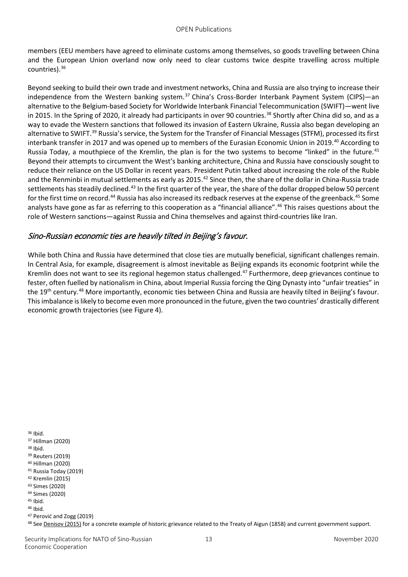members (EEU members have agreed to eliminate customs among themselves, so goods travelling between China and the European Union overland now only need to clear customs twice despite travelling across multiple countries). [36](#page-12-1)

Beyond seeking to build their own trade and investment networks, China and Russia are also trying to increase their independence from the Western banking system.<sup>[37](#page-12-2)</sup> China's Cross-Border Interbank Payment System (CIPS)—an alternative to the Belgium-based Society for Worldwide Interbank Financial Telecommunication (SWIFT)—went live in 2015. In the Spring of 2020, it already had participants in over 90 countries.<sup>[38](#page-12-3)</sup> Shortly after China did so, and as a way to evade the Western sanctions that followed its invasion of Eastern Ukraine, Russia also began developing an alternative to SWIFT.<sup>[39](#page-12-4)</sup> Russia's service, the System for the Transfer of Financial Messages (STFM), processed its first interbank transfer in 2017 and was opened up to members of the Eurasian Economic Union in 2019.<sup>[40](#page-12-5)</sup> According to Russia Today, a mouthpiece of the Kremlin, the plan is for the two systems to become "linked" in the future.<sup>[41](#page-12-6)</sup> Beyond their attempts to circumvent the West's banking architecture, China and Russia have consciously sought to reduce their reliance on the US Dollar in recent years. President Putin talked about increasing the role of the Ruble and the Renminbi in mutual settlements as early as 2015.<sup>[42](#page-12-7)</sup> Since then, the share of the dollar in China-Russia trade settlements has steadily declined.<sup>[43](#page-12-8)</sup> In the first quarter of the year, the share of the dollar dropped below 50 percent for the first time on record.<sup>[44](#page-12-9)</sup> Russia has also increased its redback reserves at the expense of the greenback.<sup>[45](#page-12-10)</sup> Some analysts have gone as far as referring to this cooperation as a "financial alliance". [46](#page-12-11) This raises questions about the role of Western sanctions—against Russia and China themselves and against third-countries like Iran.

## <span id="page-12-0"></span>Sino-Russian economic ties are heavily tilted in Beijing's favour.

While both China and Russia have determined that close ties are mutually beneficial, significant challenges remain. In Central Asia, for example, disagreement is almost inevitable as Beijing expands its economic footprint while the Kremlin does not want to see its regional hegemon status challenged.<sup>[47](#page-12-12)</sup> Furthermore, deep grievances continue to fester, often fuelled by nationalism in China, about Imperial Russia forcing the Qing Dynasty into "unfair treaties" in the 19<sup>th</sup> century.<sup>[48](#page-12-13)</sup> More importantly, economic ties between China and Russia are heavily tilted in Beijing's favour. This imbalance is likely to become even more pronounced in the future, given the two countries' drastically different economic growth trajectories (see Figure 4).

<span id="page-12-7"></span><span id="page-12-6"></span><span id="page-12-5"></span><span id="page-12-4"></span><span id="page-12-3"></span><span id="page-12-2"></span><span id="page-12-1"></span><sup>36</sup> Ibid. Hillman (2020) <sup>38</sup> Ibid. Reuters (2019) Hillman (2020) Russia Today (2019) Kremlin (2015) Simes (2020) Simes (2020) <sup>45</sup> Ibid. <sup>46</sup> Ibid. Perović and Zogg (2019)

<span id="page-12-13"></span><span id="page-12-12"></span><span id="page-12-11"></span><span id="page-12-10"></span><span id="page-12-9"></span><span id="page-12-8"></span><sup>48</sup> Se[e Denisov](https://carnegie.ru/commentary/60357) (2015) for a concrete example of historic grievance related to the Treaty of Aigun (1858) and current government support.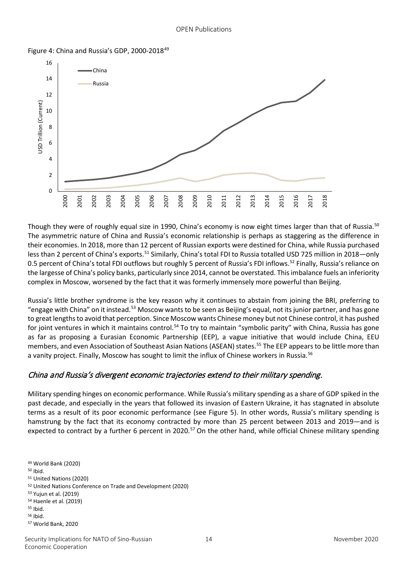



Though they were of roughly equal size in 1990, China's economy is now eight times larger than that of Russia.<sup>[50](#page-13-2)</sup> The asymmetric nature of China and Russia's economic relationship is perhaps as staggering as the difference in their economies. In 2018, more than 12 percent of Russian exports were destined for China, while Russia purchased less than 2 percent of China's exports.<sup>[51](#page-13-3)</sup> Similarly, China's total FDI to Russia totalled USD 725 million in 2018—only 0.5 percent of China's total FDI outflows but roughly 5 percent of Russia's FDI inflows.<sup>[52](#page-13-4)</sup> Finally, Russia's reliance on the largesse of China's policy banks, particularly since 2014, cannot be overstated. This imbalance fuels an inferiority complex in Moscow, worsened by the fact that it was formerly immensely more powerful than Beijing.

Russia's little brother syndrome is the key reason why it continues to abstain from joining the BRI, preferring to "engage with China" on it instead.<sup>[53](#page-13-5)</sup> Moscow wants to be seen as Beijing's equal, not its junior partner, and has gone to great lengths to avoid that perception. Since Moscow wants Chinese money but not Chinese control, it has pushed for joint ventures in which it maintains control.<sup>[54](#page-13-6)</sup> To try to maintain "symbolic parity" with China, Russia has gone as far as proposing a Eurasian Economic Partnership (EEP), a vague initiative that would include China, EEU members, and even Association of Southeast Asian Nations (ASEAN) states. [55](#page-13-7) The EEP appears to be little more than a vanity project. Finally, Moscow has sought to limit the influx of Chinese workers in Russia.<sup>[56](#page-13-8)</sup>

## <span id="page-13-0"></span>China and Russia's divergent economic trajectories extend to their military spending.

Military spending hinges on economic performance. While Russia's military spending as a share of GDP spiked in the past decade, and especially in the years that followed its invasion of Eastern Ukraine, it has stagnated in absolute terms as a result of its poor economic performance (see Figure 5). In other words, Russia's military spending is hamstrung by the fact that its economy contracted by more than 25 percent between 2013 and 2019—and is expected to contract by a further 6 percent in 2020.<sup>[57](#page-13-9)</sup> On the other hand, while official Chinese military spending

<span id="page-13-3"></span><span id="page-13-2"></span><span id="page-13-1"></span> World Bank (2020) <sup>50</sup> Ibid. United Nations (2020) United Nations Conference on Trade and Development (2020) Yujun et al. (2019) Haenle et al. (2019)

<span id="page-13-7"></span><span id="page-13-6"></span><span id="page-13-5"></span><span id="page-13-4"></span><sup>55</sup> Ibid.

<span id="page-13-8"></span><sup>56</sup> Ibid.

<span id="page-13-9"></span><sup>57</sup> World Bank, 2020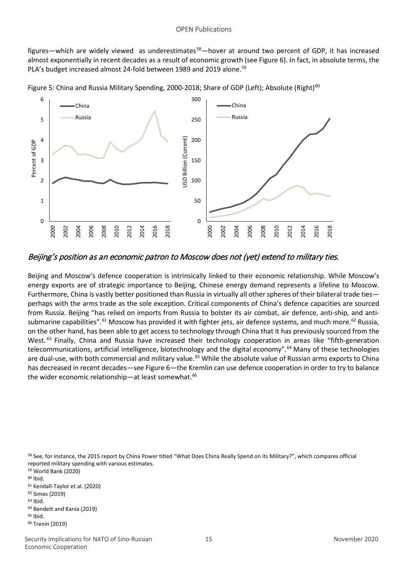figures—which are widely viewed as underestimates<sup>[58](#page-14-1)</sup>—hover at around two percent of GDP, it has increased almost exponentially in recent decades as a result of economic growth (see Figure 6). In fact, in absolute terms, the PLA's budget increased almost 24-fold between 1989 and 2019 alone.<sup>59</sup>



Figure 5: China and Russia Military Spending, 2000-2018; Share of GDP (Left); Absolute (Right)<sup>[60](#page-14-3)</sup>

#### <span id="page-14-0"></span>Beijing's position as an economic patron to Moscow does not (yet) extend to military ties.

Beijing and Moscow's defence cooperation is intrinsically linked to their economic relationship. While Moscow's energy exports are of strategic importance to Beijing, Chinese energy demand represents a lifeline to Moscow. Furthermore, China is vastly better positioned than Russia in virtually all other spheres of their bilateral trade ties perhaps with the arms trade as the sole exception. Critical components of China's defence capacities are sourced from Russia. Beijing "has relied on imports from Russia to bolster its air combat, air defence, anti-ship, and anti-submarine capabilities".<sup>[61](#page-14-4)</sup> Moscow has provided it with fighter jets, air defence systems, and much more.<sup>[62](#page-14-5)</sup> Russia, on the other hand, has been able to get access to technology through China that it has previously sourced from the West.<sup>[63](#page-14-6)</sup> Finally, China and Russia have increased their technology cooperation in areas like "fifth-generation telecommunications, artificial intelligence, biotechnology and the digital economy". [64](#page-14-7) Many of these technologies are dual-use, with both commercial and military value.<sup>[65](#page-14-8)</sup> While the absolute value of Russian arms exports to China has decreased in recent decades—see Figure 6—the Kremlin can use defence cooperation in order to try to balance the wider economic relationship—at least somewhat. $^{66}$  $^{66}$  $^{66}$ 

<span id="page-14-1"></span>58 See, for instance, the 2015 report by China Power titled "What Does China Really Spend on its Military?", which compares official reported military spending with various estimates.

- <span id="page-14-2"></span>World Bank (2020)
- <span id="page-14-3"></span>Ibid.
- <span id="page-14-4"></span>Kendall-Taylor et al. (2020)
- <span id="page-14-5"></span>Simes (2019)
- <span id="page-14-6"></span>Ibid.
- <span id="page-14-7"></span>Bendett and Kania (2019)
- <span id="page-14-8"></span>Ibid.

<span id="page-14-9"></span>Trenin (2019)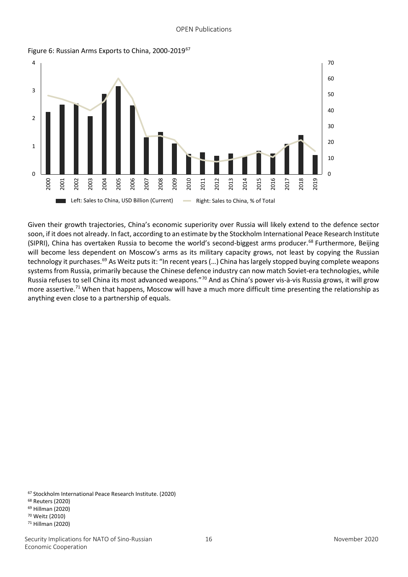#### OPEN Publications



#### Figure 6: Russian Arms Exports to China, 2000-2019<sup>[67](#page-15-1)</sup>

<span id="page-15-0"></span>Given their growth trajectories, China's economic superiority over Russia will likely extend to the defence sector soon, if it does not already. In fact, according to an estimate by the Stockholm International Peace Research Institute (SIPRI), China has overtaken Russia to become the world's second-biggest arms producer.<sup>68</sup> Furthermore, Beijing will become less dependent on Moscow's arms as its military capacity grows, not least by copying the Russian technology it purchases.<sup>[69](#page-15-3)</sup> As Weitz puts it: "In recent years (…) China has largely stopped buying complete weapons systems from Russia, primarily because the Chinese defence industry can now match Soviet-era technologies, while Russia refuses to sell China its most advanced weapons."[70](#page-15-4) And as China's power vis-à-vis Russia grows, it will grow more assertive.<sup>[71](#page-15-5)</sup> When that happens, Moscow will have a much more difficult time presenting the relationship as anything even close to a partnership of equals.

<span id="page-15-3"></span><span id="page-15-2"></span><span id="page-15-1"></span> Stockholm International Peace Research Institute. (2020) Reuters (2020) Hillman (2020) Weitz (2010) Hillman (2020)

<span id="page-15-5"></span><span id="page-15-4"></span>Security Implications for NATO of Sino-Russian Economic Cooperation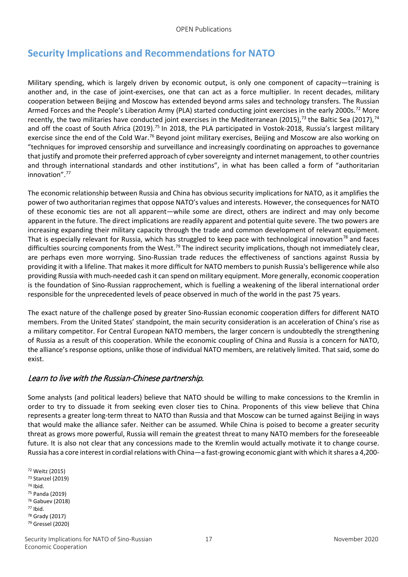# **Security Implications and Recommendations for NATO**

Military spending, which is largely driven by economic output, is only one component of capacity—training is another and, in the case of joint-exercises, one that can act as a force multiplier. In recent decades, military cooperation between Beijing and Moscow has extended beyond arms sales and technology transfers. The Russian Armed Forces and the People's Liberation Army (PLA) started conducting joint exercises in the early 2000s.<sup>72</sup> More recently, the two militaries have conducted joint exercises in the Mediterranean (2015),<sup>[73](#page-16-2)</sup> the Baltic Sea (2017),<sup>[74](#page-16-3)</sup> and off the coast of South Africa (2019).<sup>[75](#page-16-4)</sup> In 2018, the PLA participated in Vostok-2018, Russia's largest military exercise since the end of the Cold War.<sup>[76](#page-16-5)</sup> Beyond joint military exercises, Beijing and Moscow are also working on "techniques for improved censorship and surveillance and increasingly coordinating on approaches to governance that justify and promote their preferred approach of cyber sovereignty and internet management, to other countries and through international standards and other institutions", in what has been called a form of "authoritarian innovation"[.77](#page-16-6)

The economic relationship between Russia and China has obvious security implications for NATO, as it amplifies the power of two authoritarian regimes that oppose NATO's values and interests. However, the consequences for NATO of these economic ties are not all apparent—while some are direct, others are indirect and may only become apparent in the future. The direct implications are readily apparent and potential quite severe. The two powers are increasing expanding their military capacity through the trade and common development of relevant equipment. That is especially relevant for Russia, which has struggled to keep pace with technological innovation<sup>[78](#page-16-7)</sup> and faces difficulties sourcing components from the West.<sup>[79](#page-16-8)</sup> The indirect security implications, though not immediately clear, are perhaps even more worrying. Sino-Russian trade reduces the effectiveness of sanctions against Russia by providing it with a lifeline. That makes it more difficult for NATO members to punish Russia's belligerence while also providing Russia with much-needed cash it can spend on military equipment. More generally, economic cooperation is the foundation of Sino-Russian rapprochement, which is fuelling a weakening of the liberal international order responsible for the unprecedented levels of peace observed in much of the world in the past 75 years.

The exact nature of the challenge posed by greater Sino-Russian economic cooperation differs for different NATO members. From the United States' standpoint, the main security consideration is an acceleration of China's rise as a military competitor. For Central European NATO members, the larger concern is undoubtedly the strengthening of Russia as a result of this cooperation. While the economic coupling of China and Russia is a concern for NATO, the alliance's response options, unlike those of individual NATO members, are relatively limited. That said, some do exist.

## <span id="page-16-0"></span>Learn to live with the Russian-Chinese partnership.

Some analysts (and political leaders) believe that NATO should be willing to make concessions to the Kremlin in order to try to dissuade it from seeking even closer ties to China. Proponents of this view believe that China represents a greater long-term threat to NATO than Russia and that Moscow can be turned against Beijing in ways that would make the alliance safer. Neither can be assumed. While China is poised to become a greater security threat as grows more powerful, Russia will remain the greatest threat to many NATO members for the foreseeable future. It is also not clear that any concessions made to the Kremlin would actually motivate it to change course. Russia has a core interest in cordial relations with China—a fast-growing economic giant with which it shares a 4,200-

<span id="page-16-8"></span><span id="page-16-7"></span><span id="page-16-6"></span><span id="page-16-5"></span><span id="page-16-4"></span><span id="page-16-3"></span><span id="page-16-2"></span><span id="page-16-1"></span> Weitz (2015) Stanzel (2019) <sup>74</sup> Ibid. Panda (2019) Gabuev (2018) <sup>77</sup> Ibid. Grady (2017) Gressel (2020)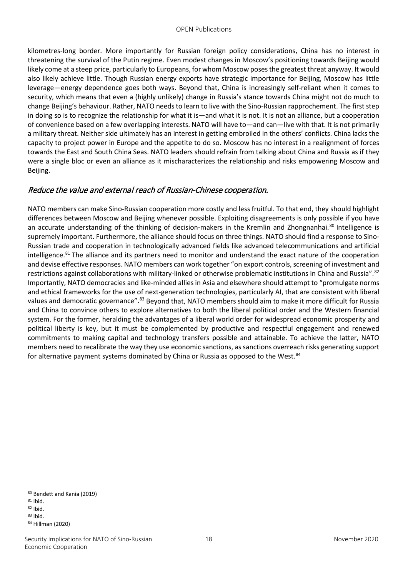kilometres-long border. More importantly for Russian foreign policy considerations, China has no interest in threatening the survival of the Putin regime. Even modest changes in Moscow's positioning towards Beijing would likely come at a steep price, particularly to Europeans, for whom Moscow poses the greatest threat anyway. It would also likely achieve little. Though Russian energy exports have strategic importance for Beijing, Moscow has little leverage—energy dependence goes both ways. Beyond that, China is increasingly self-reliant when it comes to security, which means that even a (highly unlikely) change in Russia's stance towards China might not do much to change Beijing's behaviour. Rather, NATO needs to learn to live with the Sino-Russian rapprochement. The first step in doing so is to recognize the relationship for what it is—and what it is not. It is not an alliance, but a cooperation of convenience based on a few overlapping interests. NATO will have to—and can—live with that. It is not primarily a military threat. Neither side ultimately has an interest in getting embroiled in the others' conflicts. China lacks the capacity to project power in Europe and the appetite to do so. Moscow has no interest in a realignment of forces towards the East and South China Seas. NATO leaders should refrain from talking about China and Russia as if they were a single bloc or even an alliance as it mischaracterizes the relationship and risks empowering Moscow and Beijing.

## <span id="page-17-0"></span>Reduce the value and external reach of Russian-Chinese cooperation.

NATO members can make Sino-Russian cooperation more costly and less fruitful. To that end, they should highlight differences between Moscow and Beijing whenever possible. Exploiting disagreements is only possible if you have an accurate understanding of the thinking of decision-makers in the Kremlin and Zhongnanhai.<sup>[80](#page-17-2)</sup> Intelligence is supremely important. Furthermore, the alliance should focus on three things. NATO should find a response to Sino-Russian trade and cooperation in technologically advanced fields like advanced telecommunications and artificial intelligence.<sup>81</sup> The alliance and its partners need to monitor and understand the exact nature of the cooperation and devise effective responses. NATO members can work together "on export controls, screening of investment and restrictions against collaborations with military-linked or otherwise problematic institutions in China and Russia". <sup>[82](#page-17-4)</sup> Importantly, NATO democracies and like-minded allies in Asia and elsewhere should attempt to "promulgate norms and ethical frameworks for the use of next-generation technologies, particularly AI, that are consistent with liberal values and democratic governance".<sup>[83](#page-17-5)</sup> Beyond that, NATO members should aim to make it more difficult for Russia and China to convince others to explore alternatives to both the liberal political order and the Western financial system. For the former, heralding the advantages of a liberal world order for widespread economic prosperity and political liberty is key, but it must be complemented by productive and respectful engagement and renewed commitments to making capital and technology transfers possible and attainable. To achieve the latter, NATO members need to recalibrate the way they use economic sanctions, as sanctions overreach risks generating support for alternative payment systems dominated by China or Russia as opposed to the West.<sup>[84](#page-17-6)</sup>

<span id="page-17-3"></span><span id="page-17-2"></span><span id="page-17-1"></span><sup>80</sup> Bendett and Kania (2019) <sup>81</sup> Ibid. <sup>82</sup> Ibid.

<span id="page-17-6"></span><span id="page-17-5"></span><span id="page-17-4"></span><sup>83</sup> Ibid. <sup>84</sup> Hillman (2020)

Security Implications for NATO of Sino-Russian Economic Cooperation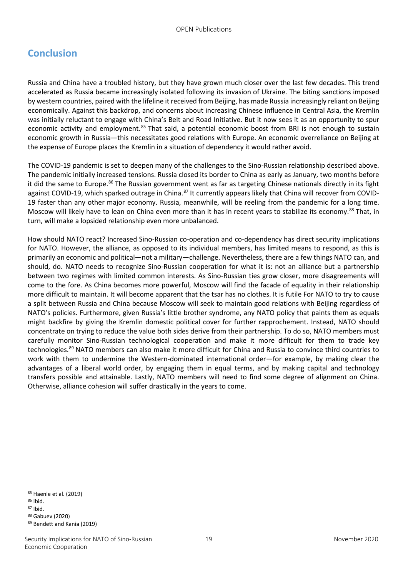# **Conclusion**

Russia and China have a troubled history, but they have grown much closer over the last few decades. This trend accelerated as Russia became increasingly isolated following its invasion of Ukraine. The biting sanctions imposed by western countries, paired with the lifeline it received from Beijing, has made Russia increasingly reliant on Beijing economically. Against this backdrop, and concerns about increasing Chinese influence in Central Asia, the Kremlin was initially reluctant to engage with China's Belt and Road Initiative. But it now sees it as an opportunity to spur economic activity and employment.<sup>[85](#page-18-0)</sup> That said, a potential economic boost from BRI is not enough to sustain economic growth in Russia—this necessitates good relations with Europe. An economic overreliance on Beijing at the expense of Europe places the Kremlin in a situation of dependency it would rather avoid.

The COVID-19 pandemic is set to deepen many of the challenges to the Sino-Russian relationship described above. The pandemic initially increased tensions. Russia closed its border to China as early as January, two months before it did the same to Europe.<sup>86</sup> The Russian government went as far as targeting Chinese nationals directly in its fight against COVID-19, which sparked outrage in China.<sup>[87](#page-18-2)</sup> It currently appears likely that China will recover from COVID-19 faster than any other major economy. Russia, meanwhile, will be reeling from the pandemic for a long time. Moscow will likely have to lean on China even more than it has in recent years to stabilize its economy.<sup>[88](#page-18-3)</sup> That, in turn, will make a lopsided relationship even more unbalanced.

How should NATO react? Increased Sino-Russian co-operation and co-dependency has direct security implications for NATO. However, the alliance, as opposed to its individual members, has limited means to respond, as this is primarily an economic and political—not a military—challenge. Nevertheless, there are a few things NATO can, and should, do. NATO needs to recognize Sino-Russian cooperation for what it is: not an alliance but a partnership between two regimes with limited common interests. As Sino-Russian ties grow closer, more disagreements will come to the fore. As China becomes more powerful, Moscow will find the facade of equality in their relationship more difficult to maintain. It will become apparent that the tsar has no clothes. It is futile For NATO to try to cause a split between Russia and China because Moscow will seek to maintain good relations with Beijing regardless of NATO's policies. Furthermore, given Russia's little brother syndrome, any NATO policy that paints them as equals might backfire by giving the Kremlin domestic political cover for further rapprochement. Instead, NATO should concentrate on trying to reduce the value both sides derive from their partnership. To do so, NATO members must carefully monitor Sino-Russian technological cooperation and make it more difficult for them to trade key technologies.[89](#page-18-4) NATO members can also make it more difficult for China and Russia to convince third countries to work with them to undermine the Western-dominated international order—for example, by making clear the advantages of a liberal world order, by engaging them in equal terms, and by making capital and technology transfers possible and attainable. Lastly, NATO members will need to find some degree of alignment on China. Otherwise, alliance cohesion will suffer drastically in the years to come.

<span id="page-18-0"></span><sup>85</sup> Haenle et al. (2019)

<span id="page-18-1"></span><sup>86</sup> Ibid.

<span id="page-18-2"></span><sup>87</sup> Ibid.

<span id="page-18-3"></span><sup>88</sup> Gabuev (2020)

<span id="page-18-4"></span><sup>89</sup> Bendett and Kania (2019)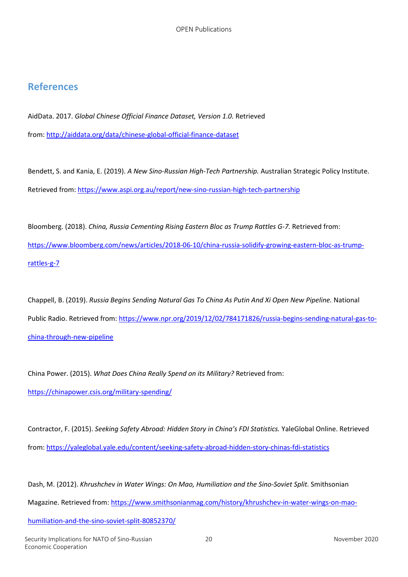## <span id="page-19-0"></span>**References**

AidData. 2017. *Global Chinese Official Finance Dataset, Version 1.0.* Retrieved from: <http://aiddata.org/data/chinese-global-official-finance-dataset>

Bendett, S. and Kania, E. (2019). *A New Sino-Russian High-Tech Partnership.* Australian Strategic Policy Institute. Retrieved from[: https://www.aspi.org.au/report/new-sino-russian-high-tech-partnership](https://www.aspi.org.au/report/new-sino-russian-high-tech-partnership)

Bloomberg. (2018). *China, Russia Cementing Rising Eastern Bloc as Trump Rattles G-7.* Retrieved from: [https://www.bloomberg.com/news/articles/2018-06-10/china-russia-solidify-growing-eastern-bloc-as-trump](https://www.bloomberg.com/news/articles/2018-06-10/china-russia-solidify-growing-eastern-bloc-as-trump-rattles-g-7)[rattles-g-7](https://www.bloomberg.com/news/articles/2018-06-10/china-russia-solidify-growing-eastern-bloc-as-trump-rattles-g-7)

Chappell, B. (2019). *Russia Begins Sending Natural Gas To China As Putin And Xi Open New Pipeline.* National Public Radio. Retrieved from[: https://www.npr.org/2019/12/02/784171826/russia-begins-sending-natural-gas-to](https://www.npr.org/2019/12/02/784171826/russia-begins-sending-natural-gas-to-china-through-new-pipeline)[china-through-new-pipeline](https://www.npr.org/2019/12/02/784171826/russia-begins-sending-natural-gas-to-china-through-new-pipeline)

China Power. (2015). *What Does China Really Spend on its Military?* Retrieved from: <https://chinapower.csis.org/military-spending/>

Contractor, F. (2015). *Seeking Safety Abroad: Hidden Story in China's FDI Statistics.* YaleGlobal Online. Retrieved from[: https://yaleglobal.yale.edu/content/seeking-safety-abroad-hidden-story-chinas-fdi-statistics](https://yaleglobal.yale.edu/content/seeking-safety-abroad-hidden-story-chinas-fdi-statistics)

Dash, M. (2012). *Khrushchev in Water Wings: On Mao, Humiliation and the Sino-Soviet Split.* Smithsonian Magazine. Retrieved from: [https://www.smithsonianmag.com/history/khrushchev-in-water-wings-on-mao](https://www.smithsonianmag.com/history/khrushchev-in-water-wings-on-mao-humiliation-and-the-sino-soviet-split-80852370/)[humiliation-and-the-sino-soviet-split-80852370/](https://www.smithsonianmag.com/history/khrushchev-in-water-wings-on-mao-humiliation-and-the-sino-soviet-split-80852370/)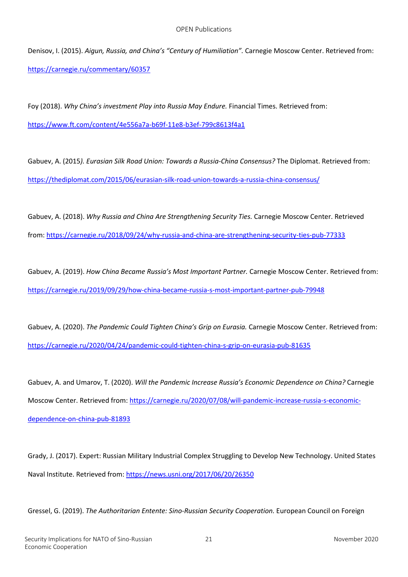Denisov, I. (2015). *Aigun, Russia, and China's "Century of Humiliation".* Carnegie Moscow Center. Retrieved from: <https://carnegie.ru/commentary/60357>

Foy (2018). *Why China's investment Play into Russia May Endure.* Financial Times. Retrieved from: <https://www.ft.com/content/4e556a7a-b69f-11e8-b3ef-799c8613f4a1>

Gabuev, A. (2015*). Eurasian Silk Road Union: Towards a Russia-China Consensus?* The Diplomat. Retrieved from: <https://thediplomat.com/2015/06/eurasian-silk-road-union-towards-a-russia-china-consensus/>

Gabuev, A. (2018). *Why Russia and China Are Strengthening Security Ties.* Carnegie Moscow Center. Retrieved from[: https://carnegie.ru/2018/09/24/why-russia-and-china-are-strengthening-security-ties-pub-77333](https://carnegie.ru/2018/09/24/why-russia-and-china-are-strengthening-security-ties-pub-77333)

Gabuev, A. (2019). *How China Became Russia's Most Important Partner.* Carnegie Moscow Center. Retrieved from: <https://carnegie.ru/2019/09/29/how-china-became-russia-s-most-important-partner-pub-79948>

Gabuev, A. (2020). *The Pandemic Could Tighten China's Grip on Eurasia.* Carnegie Moscow Center. Retrieved from: <https://carnegie.ru/2020/04/24/pandemic-could-tighten-china-s-grip-on-eurasia-pub-81635>

Gabuev, A. and Umarov, T. (2020). *Will the Pandemic Increase Russia's Economic Dependence on China?* Carnegie Moscow Center. Retrieved from: [https://carnegie.ru/2020/07/08/will-pandemic-increase-russia-s-economic](https://carnegie.ru/2020/07/08/will-pandemic-increase-russia-s-economic-dependence-on-china-pub-81893)[dependence-on-china-pub-81893](https://carnegie.ru/2020/07/08/will-pandemic-increase-russia-s-economic-dependence-on-china-pub-81893)

Grady, J. (2017). Expert: Russian Military Industrial Complex Struggling to Develop New Technology. United States Naval Institute. Retrieved from:<https://news.usni.org/2017/06/20/26350>

Gressel, G. (2019). *The Authoritarian Entente: Sino-Russian Security Cooperation.* European Council on Foreign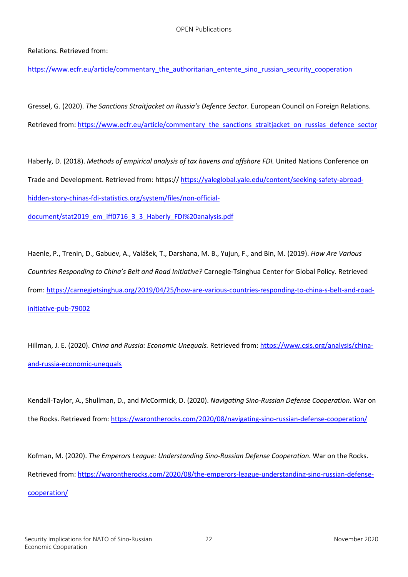Relations. Retrieved from:

[https://www.ecfr.eu/article/commentary\\_the\\_authoritarian\\_entente\\_sino\\_russian\\_security\\_cooperation](https://www.ecfr.eu/article/commentary_the_authoritarian_entente_sino_russian_security_cooperation)

Gressel, G. (2020). *The Sanctions Straitjacket on Russia's Defence Sector.* European Council on Foreign Relations. Retrieved from[: https://www.ecfr.eu/article/commentary\\_the\\_sanctions\\_straitjacket\\_on\\_russias\\_defence\\_sector](https://www.ecfr.eu/article/commentary_the_sanctions_straitjacket_on_russias_defence_sector)

Haberly, D. (2018). *Methods of empirical analysis of tax havens and offshore FDI.* United Nations Conference on Trade and Development. Retrieved from: https:// [https://yaleglobal.yale.edu/content/seeking-safety-abroad](https://yaleglobal.yale.edu/content/seeking-safety-abroad-hidden-story-chinas-fdi-statistics.org/system/files/non-official-document/stat2019_em_iff0716_3_3_Haberly_FDI%20analysis.pdf)[hidden-story-chinas-fdi-statistics.org/system/files/non-official-](https://yaleglobal.yale.edu/content/seeking-safety-abroad-hidden-story-chinas-fdi-statistics.org/system/files/non-official-document/stat2019_em_iff0716_3_3_Haberly_FDI%20analysis.pdf)

[document/stat2019\\_em\\_iff0716\\_3\\_3\\_Haberly\\_FDI%20analysis.pdf](https://yaleglobal.yale.edu/content/seeking-safety-abroad-hidden-story-chinas-fdi-statistics.org/system/files/non-official-document/stat2019_em_iff0716_3_3_Haberly_FDI%20analysis.pdf)

Haenle, P., Trenin, D., Gabuev, A., Valášek, T., Darshana, M. B., Yujun, F., and Bin, M. (2019). *How Are Various Countries Responding to China's Belt and Road Initiative?* Carnegie-Tsinghua Center for Global Policy. Retrieved from[: https://carnegietsinghua.org/2019/04/25/how-are-various-countries-responding-to-china-s-belt-and-road](https://carnegietsinghua.org/2019/04/25/how-are-various-countries-responding-to-china-s-belt-and-road-initiative-pub-79002)[initiative-pub-79002](https://carnegietsinghua.org/2019/04/25/how-are-various-countries-responding-to-china-s-belt-and-road-initiative-pub-79002)

Hillman, J. E. (2020). *China and Russia: Economic Unequals.* Retrieved from[: https://www.csis.org/analysis/china](https://www.csis.org/analysis/china-and-russia-economic-unequals)[and-russia-economic-unequals](https://www.csis.org/analysis/china-and-russia-economic-unequals)

Kendall-Taylor, A., Shullman, D., and McCormick, D. (2020). *Navigating Sino-Russian Defense Cooperation.* War on the Rocks. Retrieved from:<https://warontherocks.com/2020/08/navigating-sino-russian-defense-cooperation/>

Kofman, M. (2020). *The Emperors League: Understanding Sino-Russian Defense Cooperation.* War on the Rocks. Retrieved from[: https://warontherocks.com/2020/08/the-emperors-league-understanding-sino-russian-defense](https://warontherocks.com/2020/08/the-emperors-league-understanding-sino-russian-defense-cooperation/)[cooperation/](https://warontherocks.com/2020/08/the-emperors-league-understanding-sino-russian-defense-cooperation/)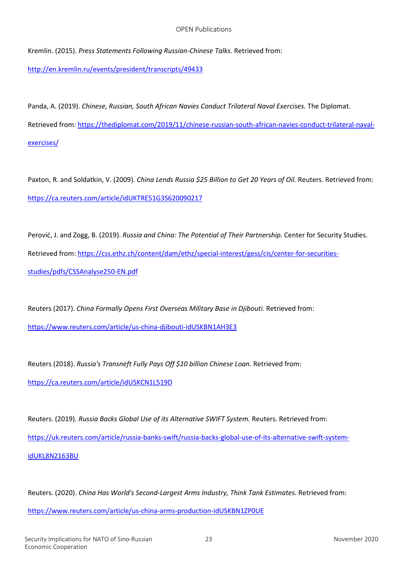Kremlin. (2015). *Press Statements Following Russian-Chinese Talks.* Retrieved from:

<http://en.kremlin.ru/events/president/transcripts/49433>

Panda, A. (2019). *Chinese, Russian, South African Navies Conduct Trilateral Naval Exercises.* The Diplomat.

Retrieved from[: https://thediplomat.com/2019/11/chinese-russian-south-african-navies-conduct-trilateral-naval](https://thediplomat.com/2019/11/chinese-russian-south-african-navies-conduct-trilateral-naval-exercises/)[exercises/](https://thediplomat.com/2019/11/chinese-russian-south-african-navies-conduct-trilateral-naval-exercises/)

Paxton, R. and Soldatkin, V. (2009). *China Lends Russia \$25 Billion to Get 20 Years of Oil.* Reuters. Retrieved from: <https://ca.reuters.com/article/idUKTRE51G3S620090217>

Perović, J. and Zogg, B. (2019). *Russia and China: The Potential of Their Partnership.* Center for Security Studies. Retrieved from[: https://css.ethz.ch/content/dam/ethz/special-interest/gess/cis/center-for-securities](https://css.ethz.ch/content/dam/ethz/special-interest/gess/cis/center-for-securities-studies/pdfs/CSSAnalyse250-EN.pdf)[studies/pdfs/CSSAnalyse250-EN.pdf](https://css.ethz.ch/content/dam/ethz/special-interest/gess/cis/center-for-securities-studies/pdfs/CSSAnalyse250-EN.pdf)

Reuters (2017). *China Formally Opens First Overseas Military Base in Djibouti*. Retrieved from: <https://www.reuters.com/article/us-china-djibouti-idUSKBN1AH3E3>

Reuters (2018). *Russia's Transneft Fully Pays Off \$10 billion Chinese Loan.* Retrieved from: <https://ca.reuters.com/article/idUSKCN1L519D>

Reuters. (2019). *Russia Backs Global Use of its Alternative SWIFT System.* Reuters. Retrieved from: [https://uk.reuters.com/article/russia-banks-swift/russia-backs-global-use-of-its-alternative-swift-system](https://uk.reuters.com/article/russia-banks-swift/russia-backs-global-use-of-its-alternative-swift-system-idUKL8N2163BU)[idUKL8N2163BU](https://uk.reuters.com/article/russia-banks-swift/russia-backs-global-use-of-its-alternative-swift-system-idUKL8N2163BU)

Reuters. (2020). *China Has World's Second-Largest Arms Industry, Think Tank Estimates.* Retrieved from: [https://www.reuters.com/article/us-china-arms-production-](https://www.reuters.com/article/us-china-arms-production-idUSKBN1ZP0UE)idUSKBN1ZP0UE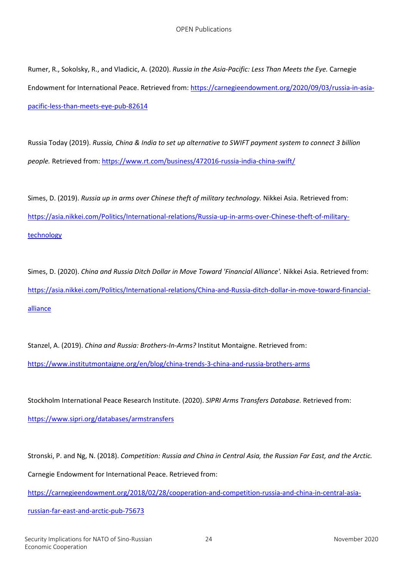Rumer, R., Sokolsky, R., and Vladicic, A. (2020). *Russia in the Asia-Pacific: Less Than Meets the Eye.* Carnegie Endowment for International Peace. Retrieved from: [https://carnegieendowment.org/2020/09/03/russia-in-asia](https://carnegieendowment.org/2020/09/03/russia-in-asia-pacific-less-than-meets-eye-pub-82614)[pacific-less-than-meets-eye-pub-82614](https://carnegieendowment.org/2020/09/03/russia-in-asia-pacific-less-than-meets-eye-pub-82614)

Russia Today (2019). *Russia, China & India to set up alternative to SWIFT payment system to connect 3 billion people.* Retrieved from[: https://www.rt.com/business/472016-russia-india-china-swift/](https://www.rt.com/business/472016-russia-india-china-swift/)

Simes, D. (2019). *Russia up in arms over Chinese theft of military technology.* Nikkei Asia. Retrieved from: [https://asia.nikkei.com/Politics/International-relations/Russia-up-in-arms-over-Chinese-theft-of-military](https://asia.nikkei.com/Politics/International-relations/Russia-up-in-arms-over-Chinese-theft-of-military-technology)[technology](https://asia.nikkei.com/Politics/International-relations/Russia-up-in-arms-over-Chinese-theft-of-military-technology)

Simes, D. (2020). *China and Russia Ditch Dollar in Move Toward 'Financial Alliance'.* Nikkei Asia. Retrieved from: [https://asia.nikkei.com/Politics/International-relations/China-and-Russia-ditch-dollar-in-move-toward-financial](https://asia.nikkei.com/Politics/International-relations/China-and-Russia-ditch-dollar-in-move-toward-financial-alliance)[alliance](https://asia.nikkei.com/Politics/International-relations/China-and-Russia-ditch-dollar-in-move-toward-financial-alliance)

Stanzel, A. (2019). *China and Russia: Brothers-In-Arms?* Institut Montaigne. Retrieved from: <https://www.institutmontaigne.org/en/blog/china-trends-3-china-and-russia-brothers-arms>

Stockholm International Peace Research Institute. (2020). *SIPRI Arms Transfers Database.* Retrieved from: <https://www.sipri.org/databases/armstransfers>

Stronski, P. and Ng, N. (2018). *Competition: Russia and China in Central Asia, the Russian Far East, and the Arctic.* Carnegie Endowment for International Peace. Retrieved from:

[https://carnegieendowment.org/2018/02/28/cooperation-and-competition-russia-and-china-in-central-asia-](https://carnegieendowment.org/2018/02/28/cooperation-and-competition-russia-and-china-in-central-asia-russian-far-east-and-arctic-pub-75673)

[russian-far-east-and-arctic-pub-75673](https://carnegieendowment.org/2018/02/28/cooperation-and-competition-russia-and-china-in-central-asia-russian-far-east-and-arctic-pub-75673)